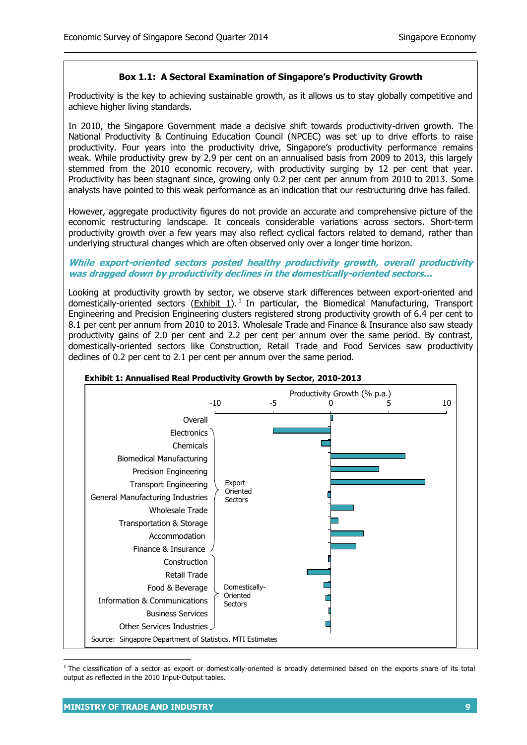# **Box 1.1: A Sectoral Examination of Singapore's Productivity Growth**

Productivity is the key to achieving sustainable growth, as it allows us to stay globally competitive and achieve higher living standards.

In 2010, the Singapore Government made a decisive shift towards productivity-driven growth. The National Productivity & Continuing Education Council (NPCEC) was set up to drive efforts to raise productivity. Four years into the productivity drive, Singapore's productivity performance remains weak. While productivity grew by 2.9 per cent on an annualised basis from 2009 to 2013, this largely stemmed from the 2010 economic recovery, with productivity surging by 12 per cent that year. Productivity has been stagnant since, growing only 0.2 per cent per annum from 2010 to 2013. Some analysts have pointed to this weak performance as an indication that our restructuring drive has failed.

However, aggregate productivity figures do not provide an accurate and comprehensive picture of the economic restructuring landscape. It conceals considerable variations across sectors. Short-term productivity growth over a few years may also reflect cyclical factors related to demand, rather than underlying structural changes which are often observed only over a longer time horizon.

#### **While export-oriented sectors posted healthy productivity growth, overall productivity was dragged down by productivity declines in the domestically-oriented sectors…**

Looking at productivity growth by sector, we observe stark differences between export-oriented and domestically-oriented sectors  $(\underline{Exhibit 1})$ .<sup>1</sup> In particular, the Biomedical Manufacturing, Transport Engineering and Precision Engineering clusters registered strong productivity growth of 6.4 per cent to 8.1 per cent per annum from 2010 to 2013. Wholesale Trade and Finance & Insurance also saw steady productivity gains of 2.0 per cent and 2.2 per cent per annum over the same period. By contrast, domestically-oriented sectors like Construction, Retail Trade and Food Services saw productivity declines of 0.2 per cent to 2.1 per cent per annum over the same period.



<sup>1</sup> The classification of a sector as export or domestically-oriented is broadly determined based on the exports share of its total output as reflected in the 2010 Input-Output tables.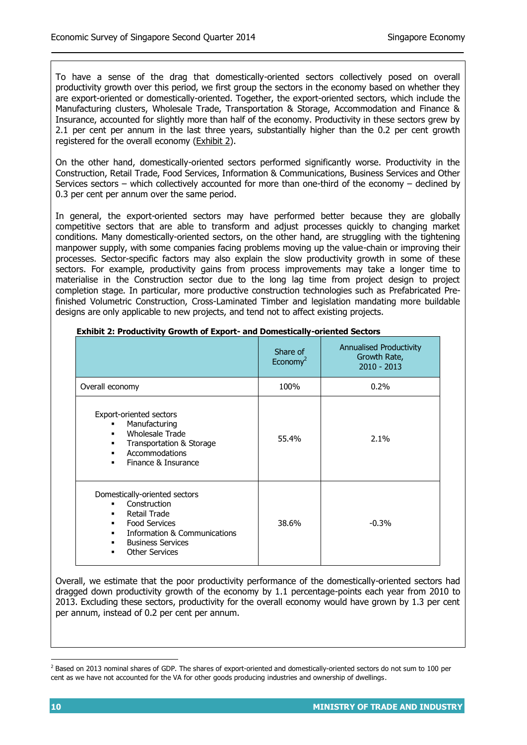To have a sense of the drag that domestically-oriented sectors collectively posed on overall productivity growth over this period, we first group the sectors in the economy based on whether they are export-oriented or domestically-oriented. Together, the export-oriented sectors, which include the Manufacturing clusters, Wholesale Trade, Transportation & Storage, Accommodation and Finance & Insurance, accounted for slightly more than half of the economy. Productivity in these sectors grew by 2.1 per cent per annum in the last three years, substantially higher than the 0.2 per cent growth registered for the overall economy (Exhibit 2).

On the other hand, domestically-oriented sectors performed significantly worse. Productivity in the Construction, Retail Trade, Food Services, Information & Communications, Business Services and Other Services sectors – which collectively accounted for more than one-third of the economy – declined by 0.3 per cent per annum over the same period.

In general, the export-oriented sectors may have performed better because they are globally competitive sectors that are able to transform and adjust processes quickly to changing market conditions. Many domestically-oriented sectors, on the other hand, are struggling with the tightening manpower supply, with some companies facing problems moving up the value-chain or improving their processes. Sector-specific factors may also explain the slow productivity growth in some of these sectors. For example, productivity gains from process improvements may take a longer time to materialise in the Construction sector due to the long lag time from project design to project completion stage. In particular, more productive construction technologies such as Prefabricated Prefinished Volumetric Construction, Cross-Laminated Timber and legislation mandating more buildable designs are only applicable to new projects, and tend not to affect existing projects.

|                                                                                                                                                                                                             | Share of<br>Economy <sup>2</sup> | <b>Annualised Productivity</b><br>Growth Rate,<br>$2010 - 2013$ |
|-------------------------------------------------------------------------------------------------------------------------------------------------------------------------------------------------------------|----------------------------------|-----------------------------------------------------------------|
| Overall economy                                                                                                                                                                                             | 100%                             | $0.2\%$                                                         |
| Export-oriented sectors<br>Manufacturing<br>Wholesale Trade<br>Transportation & Storage<br>$\blacksquare$<br>Accommodations<br>Finance & Insurance<br>$\blacksquare$                                        | 55.4%                            | $2.1\%$                                                         |
| Domestically-oriented sectors<br>Construction<br>Retail Trade<br>٠<br><b>Food Services</b><br>٠<br>Information & Communications<br>$\blacksquare$<br><b>Business Services</b><br><b>Other Services</b><br>٠ | 38.6%                            | $-0.3%$                                                         |

#### **Exhibit 2: Productivity Growth of Export- and Domestically-oriented Sectors**

Overall, we estimate that the poor productivity performance of the domestically-oriented sectors had dragged down productivity growth of the economy by 1.1 percentage-points each year from 2010 to 2013. Excluding these sectors, productivity for the overall economy would have grown by 1.3 per cent per annum, instead of 0.2 per cent per annum.

l

<sup>&</sup>lt;sup>2</sup> Based on 2013 nominal shares of GDP. The shares of export-oriented and domestically-oriented sectors do not sum to 100 per cent as we have not accounted for the VA for other goods producing industries and ownership of dwellings.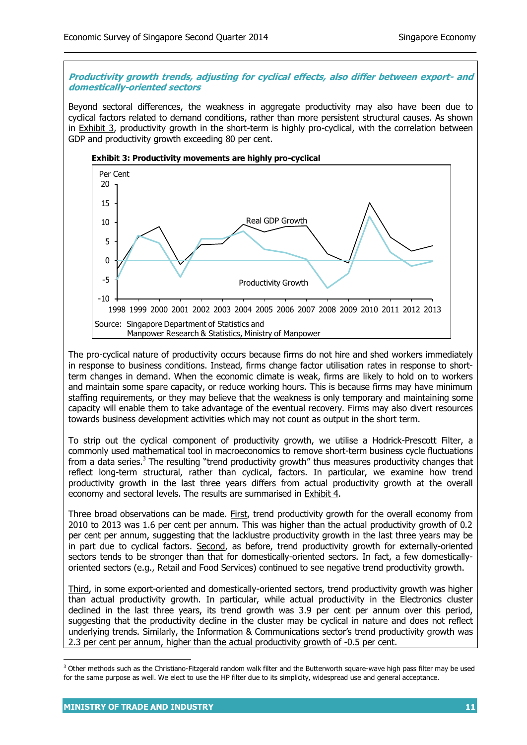## **Productivity growth trends, adjusting for cyclical effects, also differ between export- and domestically-oriented sectors**

Beyond sectoral differences, the weakness in aggregate productivity may also have been due to cyclical factors related to demand conditions, rather than more persistent structural causes. As shown in **Exhibit 3**, productivity growth in the short-term is highly pro-cyclical, with the correlation between GDP and productivity growth exceeding 80 per cent.



The pro-cyclical nature of productivity occurs because firms do not hire and shed workers immediately in response to business conditions. Instead, firms change factor utilisation rates in response to shortterm changes in demand. When the economic climate is weak, firms are likely to hold on to workers and maintain some spare capacity, or reduce working hours. This is because firms may have minimum staffing requirements, or they may believe that the weakness is only temporary and maintaining some capacity will enable them to take advantage of the eventual recovery. Firms may also divert resources towards business development activities which may not count as output in the short term.

To strip out the cyclical component of productivity growth, we utilise a Hodrick-Prescott Filter, a commonly used mathematical tool in macroeconomics to remove short-term business cycle fluctuations from a data series.<sup>3</sup> The resulting "trend productivity growth" thus measures productivity changes that reflect long-term structural, rather than cyclical, factors. In particular, we examine how trend productivity growth in the last three years differs from actual productivity growth at the overall economy and sectoral levels. The results are summarised in Exhibit 4.

Three broad observations can be made. First, trend productivity growth for the overall economy from 2010 to 2013 was 1.6 per cent per annum. This was higher than the actual productivity growth of 0.2 per cent per annum, suggesting that the lacklustre productivity growth in the last three years may be in part due to cyclical factors. Second, as before, trend productivity growth for externally-oriented sectors tends to be stronger than that for domestically-oriented sectors. In fact, a few domesticallyoriented sectors (e.g., Retail and Food Services) continued to see negative trend productivity growth.

Third, in some export-oriented and domestically-oriented sectors, trend productivity growth was higher than actual productivity growth. In particular, while actual productivity in the Electronics cluster declined in the last three years, its trend growth was 3.9 per cent per annum over this period, suggesting that the productivity decline in the cluster may be cyclical in nature and does not reflect underlying trends. Similarly, the Information & Communications sector's trend productivity growth was 2.3 per cent per annum, higher than the actual productivity growth of -0.5 per cent.

1

 $3$  Other methods such as the Christiano-Fitzgerald random walk filter and the Butterworth square-wave high pass filter may be used for the same purpose as well. We elect to use the HP filter due to its simplicity, widespread use and general acceptance.